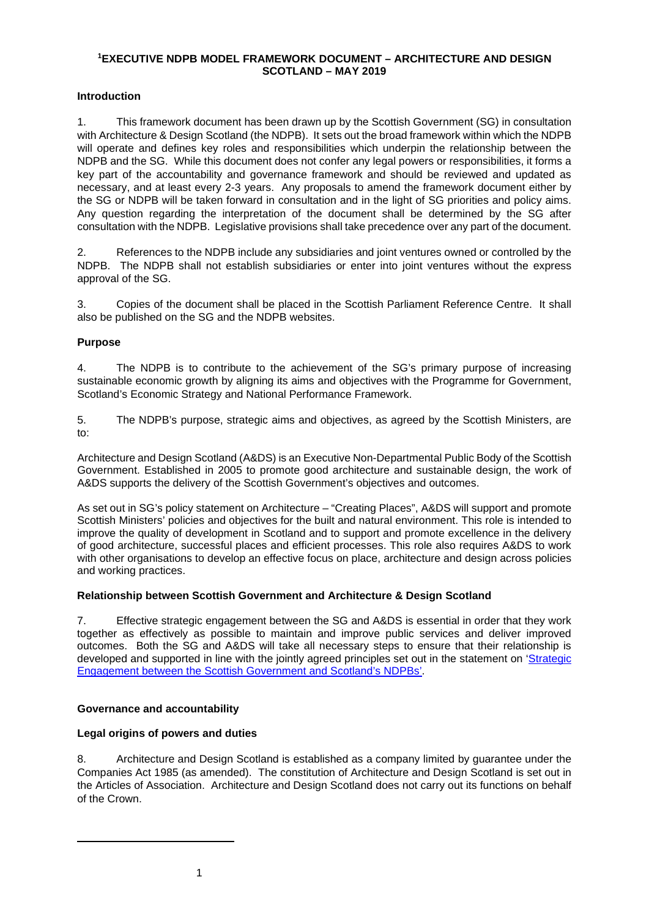### **[1](#page-0-0)EXECUTIVE NDPB MODEL FRAMEWORK DOCUMENT – ARCHITECTURE AND DESIGN SCOTLAND – MAY 2019**

# **Introduction**

1. This framework document has been drawn up by the Scottish Government (SG) in consultation with Architecture & Design Scotland (the NDPB). It sets out the broad framework within which the NDPB will operate and defines key roles and responsibilities which underpin the relationship between the NDPB and the SG. While this document does not confer any legal powers or responsibilities, it forms a key part of the accountability and governance framework and should be reviewed and updated as necessary, and at least every 2-3 years. Any proposals to amend the framework document either by the SG or NDPB will be taken forward in consultation and in the light of SG priorities and policy aims. Any question regarding the interpretation of the document shall be determined by the SG after consultation with the NDPB. Legislative provisions shall take precedence over any part of the document.

2. References to the NDPB include any subsidiaries and joint ventures owned or controlled by the NDPB. The NDPB shall not establish subsidiaries or enter into joint ventures without the express approval of the SG.

3. Copies of the document shall be placed in the Scottish Parliament Reference Centre. It shall also be published on the SG and the NDPB websites.

# **Purpose**

4. The NDPB is to contribute to the achievement of the SG's primary purpose of increasing sustainable economic growth by aligning its aims and objectives with the Programme for Government, Scotland's Economic Strategy and National Performance Framework.

5. The NDPB's purpose, strategic aims and objectives, as agreed by the Scottish Ministers, are to:

Architecture and Design Scotland (A&DS) is an Executive Non-Departmental Public Body of the Scottish Government. Established in 2005 to promote good architecture and sustainable design, the work of A&DS supports the delivery of the Scottish Government's objectives and outcomes.

As set out in SG's policy statement on Architecture – "Creating Places", A&DS will support and promote Scottish Ministers' policies and objectives for the built and natural environment. This role is intended to improve the quality of development in Scotland and to support and promote excellence in the delivery of good architecture, successful places and efficient processes. This role also requires A&DS to work with other organisations to develop an effective focus on place, architecture and design across policies and working practices.

## **Relationship between Scottish Government and Architecture & Design Scotland**

7. Effective strategic engagement between the SG and A&DS is essential in order that they work together as effectively as possible to maintain and improve public services and deliver improved outcomes. Both the SG and A&DS will take all necessary steps to ensure that their relationship is developed and supported in line with the jointly agreed principles set out in the statement on ['Strategic](http://www.gov.scot/Topics/Government/public-bodies/pubs/StrategicEngagement)  [Engagement between the Scottish Government and Scotland's NDPBs'.](http://www.gov.scot/Topics/Government/public-bodies/pubs/StrategicEngagement)

## **Governance and accountability**

## **Legal origins of powers and duties**

<span id="page-0-0"></span>8. Architecture and Design Scotland is established as a company limited by guarantee under the Companies Act 1985 (as amended). The constitution of Architecture and Design Scotland is set out in the Articles of Association. Architecture and Design Scotland does not carry out its functions on behalf of the Crown.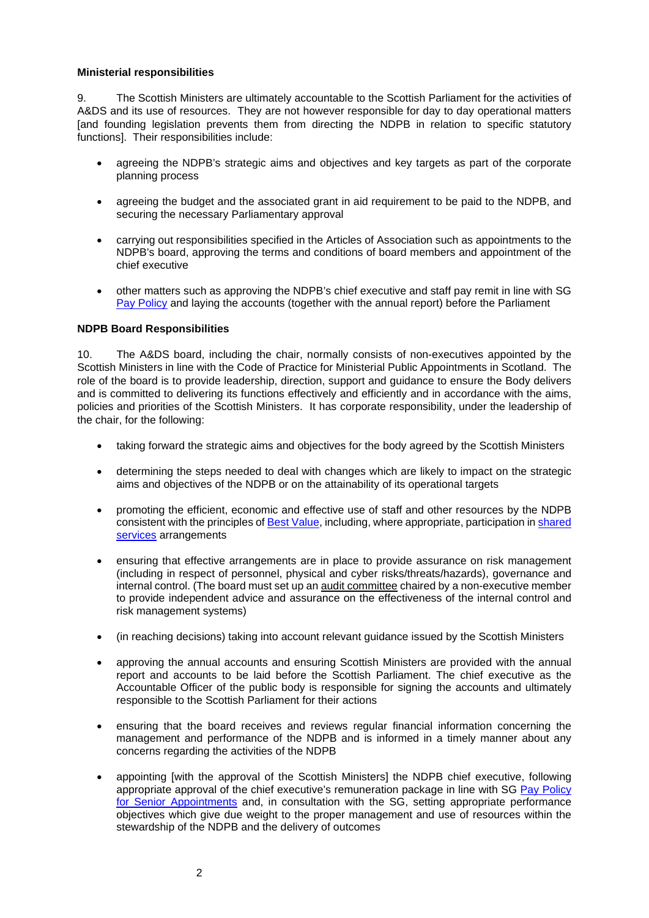### **Ministerial responsibilities**

9. The Scottish Ministers are ultimately accountable to the Scottish Parliament for the activities of A&DS and its use of resources. They are not however responsible for day to day operational matters [and founding legislation prevents them from directing the NDPB in relation to specific statutory functions]. Their responsibilities include:

- agreeing the NDPB's strategic aims and objectives and key targets as part of the corporate planning process
- agreeing the budget and the associated grant in aid requirement to be paid to the NDPB, and securing the necessary Parliamentary approval
- carrying out responsibilities specified in the Articles of Association such as appointments to the NDPB's board, approving the terms and conditions of board members and appointment of the chief executive
- other matters such as approving the NDPB's chief executive and staff pay remit in line with SG [Pay Policy](http://www.gov.scot/publicsectorpay) and laying the accounts (together with the annual report) before the Parliament

## **NDPB Board Responsibilities**

10. The A&DS board, including the chair, normally consists of non-executives appointed by the Scottish Ministers in line with the Code of Practice for Ministerial Public Appointments in Scotland. The role of the board is to provide leadership, direction, support and guidance to ensure the Body delivers and is committed to delivering its functions effectively and efficiently and in accordance with the aims, policies and priorities of the Scottish Ministers. It has corporate responsibility, under the leadership of the chair, for the following:

- taking forward the strategic aims and objectives for the body agreed by the Scottish Ministers
- determining the steps needed to deal with changes which are likely to impact on the strategic aims and objectives of the NDPB or on the attainability of its operational targets
- promoting the efficient, economic and effective use of staff and other resources by the NDPB consistent with the principles of [Best Value,](http://www.scotland.gov.uk/Topics/Government/Finance/spfm/BestValue) including, where appropriate, participation in [shared](http://www.scotland.gov.uk/Topics/Government/PublicServiceReform/efficientgovernment/SharedServicesDecemberPDF)  [services](http://www.scotland.gov.uk/Topics/Government/PublicServiceReform/efficientgovernment/SharedServicesDecemberPDF) arrangements
- ensuring that effective arrangements are in place to provide assurance on risk management (including in respect of personnel, physical and cyber risks/threats/hazards), governance and internal control. (The board must set up a[n audit committee](http://www.gov.scot/Topics/Government/Finance/spfm/auditcommittees) chaired by a non-executive member to provide independent advice and assurance on the effectiveness of the internal control and risk management systems)
- (in reaching decisions) taking into account relevant guidance issued by the Scottish Ministers
- approving the annual accounts and ensuring Scottish Ministers are provided with the annual report and accounts to be laid before the Scottish Parliament. The chief executive as the Accountable Officer of the public body is responsible for signing the accounts and ultimately responsible to the Scottish Parliament for their actions
- ensuring that the board receives and reviews regular financial information concerning the management and performance of the NDPB and is informed in a timely manner about any concerns regarding the activities of the NDPB
- appointing [with the approval of the Scottish Ministers] the NDPB chief executive, following appropriate approval of the chief executive's remuneration package in line with SG [Pay Policy](http://www.gov.scot/Topics/Government/public-sector-pay/senior-appointment-pay)  [for Senior Appointments](http://www.gov.scot/Topics/Government/public-sector-pay/senior-appointment-pay) and, in consultation with the SG, setting appropriate performance objectives which give due weight to the proper management and use of resources within the stewardship of the NDPB and the delivery of outcomes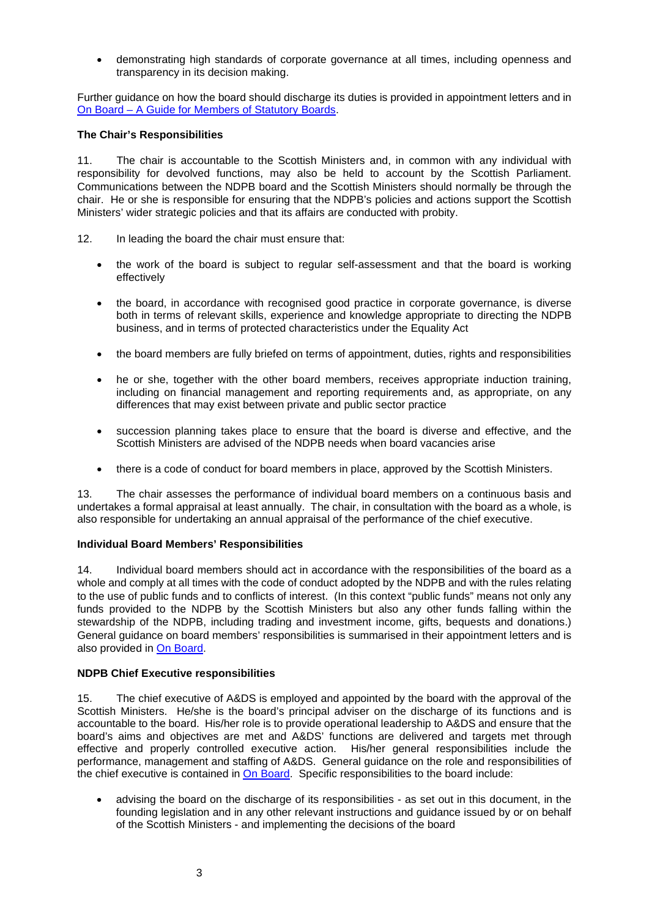• demonstrating high standards of corporate governance at all times, including openness and transparency in its decision making.

Further guidance on how the board should discharge its duties is provided in appointment letters and in On Board – [A Guide for Members of Statutory Boards.](http://www.gov.scot/Resource/0051/00514817.pdf)

### **The Chair's Responsibilities**

11. The chair is accountable to the Scottish Ministers and, in common with any individual with responsibility for devolved functions, may also be held to account by the Scottish Parliament. Communications between the NDPB board and the Scottish Ministers should normally be through the chair. He or she is responsible for ensuring that the NDPB's policies and actions support the Scottish Ministers' wider strategic policies and that its affairs are conducted with probity.

- 12. In leading the board the chair must ensure that:
	- the work of the board is subject to regular self-assessment and that the board is working effectively
	- the board, in accordance with recognised good practice in corporate governance, is diverse both in terms of relevant skills, experience and knowledge appropriate to directing the NDPB business, and in terms of protected characteristics under the Equality Act
	- the board members are fully briefed on terms of appointment, duties, rights and responsibilities
	- he or she, together with the other board members, receives appropriate induction training, including on financial management and reporting requirements and, as appropriate, on any differences that may exist between private and public sector practice
	- succession planning takes place to ensure that the board is diverse and effective, and the Scottish Ministers are advised of the NDPB needs when board vacancies arise
	- there is a code of conduct for board members in place, approved by the Scottish Ministers.

13. The chair assesses the performance of individual board members on a continuous basis and undertakes a formal appraisal at least annually. The chair, in consultation with the board as a whole, is also responsible for undertaking an annual appraisal of the performance of the chief executive.

## **Individual Board Members' Responsibilities**

14. Individual board members should act in accordance with the responsibilities of the board as a whole and comply at all times with the code of conduct adopted by the NDPB and with the rules relating to the use of public funds and to conflicts of interest. (In this context "public funds" means not only any funds provided to the NDPB by the Scottish Ministers but also any other funds falling within the stewardship of the NDPB, including trading and investment income, gifts, bequests and donations.) General guidance on board members' responsibilities is summarised in their appointment letters and is also provided in [On Board.](http://www.gov.scot/Resource/0051/00514817.pdf)

## **NDPB Chief Executive responsibilities**

15. The chief executive of A&DS is employed and appointed by the board with the approval of the Scottish Ministers. He/she is the board's principal adviser on the discharge of its functions and is accountable to the board. His/her role is to provide operational leadership to A&DS and ensure that the board's aims and objectives are met and A&DS' functions are delivered and targets met through effective and properly controlled executive action. His/her general responsibilities include the performance, management and staffing of A&DS. General guidance on the role and responsibilities of the chief executive is contained in [On Board.](http://www.gov.scot/Resource/0051/00514817.pdf) Specific responsibilities to the board include:

• advising the board on the discharge of its responsibilities - as set out in this document, in the founding legislation and in any other relevant instructions and guidance issued by or on behalf of the Scottish Ministers - and implementing the decisions of the board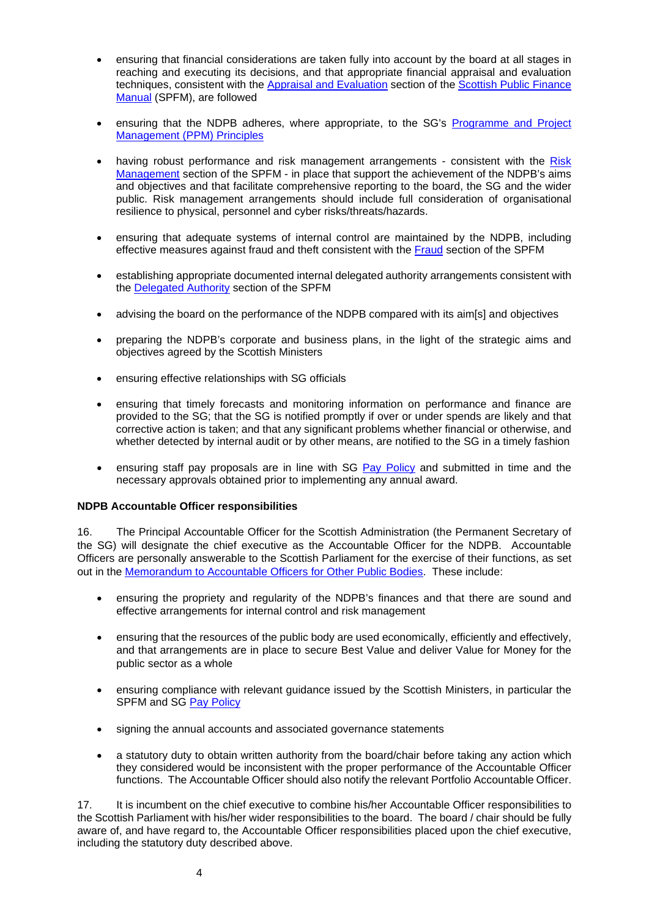- ensuring that financial considerations are taken fully into account by the board at all stages in reaching and executing its decisions, and that appropriate financial appraisal and evaluation techniques, consistent with the [Appraisal and Evaluation](http://www.scotland.gov.uk/Topics/Government/Finance/spfm/appraisal) section of the Scottish Public Finance [Manual](http://www.scotland.gov.uk/Topics/Government/Finance/spfm/Intro) (SPFM), are followed
- ensuring that the NDPB adheres, where appropriate, to the SG's Programme and Project [Management \(PPM\) Principles](http://www.scotland.gov.uk/Topics/Government/ProgrammeProjectDelivery/Principles)
- having robust performance and risk management arrangements consistent with the Risk [Management](http://www.scotland.gov.uk/Topics/Government/Finance/spfm/risk) section of the SPFM - in place that support the achievement of the NDPB's aims and objectives and that facilitate comprehensive reporting to the board, the SG and the wider public. Risk management arrangements should include full consideration of organisational resilience to physical, personnel and cyber risks/threats/hazards.
- ensuring that adequate systems of internal control are maintained by the NDPB, including effective measures against fraud and theft consistent with the [Fraud](http://www.scotland.gov.uk/Topics/Government/Finance/spfm/fraud) section of the SPFM
- establishing appropriate documented internal delegated authority arrangements consistent with the [Delegated Authority](http://www.scotland.gov.uk/Topics/Government/Finance/spfm/delegauth) section of the SPFM
- advising the board on the performance of the NDPB compared with its aim[s] and objectives
- preparing the NDPB's corporate and business plans, in the light of the strategic aims and objectives agreed by the Scottish Ministers
- ensuring effective relationships with SG officials
- ensuring that timely forecasts and monitoring information on performance and finance are provided to the SG; that the SG is notified promptly if over or under spends are likely and that corrective action is taken; and that any significant problems whether financial or otherwise, and whether detected by internal audit or by other means, are notified to the SG in a timely fashion
- ensuring staff pay proposals are in line with SG [Pay Policy](http://www.gov.scot/Topics/Government/public-sector-pay/staff-pay) and submitted in time and the necessary approvals obtained prior to implementing any annual award.

### **NDPB Accountable Officer responsibilities**

16. The Principal Accountable Officer for the Scottish Administration (the Permanent Secretary of the SG) will designate the chief executive as the Accountable Officer for the NDPB. Accountable Officers are personally answerable to the Scottish Parliament for the exercise of their functions, as set out in the [Memorandum to Accountable Officers for Other Public Bodies.](http://www.scotland.gov.uk/Topics/Government/Finance/spfm/Accountability/aomemoother) These include:

- ensuring the propriety and regularity of the NDPB's finances and that there are sound and effective arrangements for internal control and risk management
- ensuring that the resources of the public body are used economically, efficiently and effectively, and that arrangements are in place to secure Best Value and deliver Value for Money for the public sector as a whole
- ensuring compliance with relevant guidance issued by the Scottish Ministers, in particular the SPFM and SG [Pay Policy](http://www.gov.scot/Topics/Government/public-sector-pay/staff-pay)
- signing the annual accounts and associated governance statements
- a statutory duty to obtain written authority from the board/chair before taking any action which they considered would be inconsistent with the proper performance of the Accountable Officer functions. The Accountable Officer should also notify the relevant Portfolio Accountable Officer.

17. It is incumbent on the chief executive to combine his/her Accountable Officer responsibilities to the Scottish Parliament with his/her wider responsibilities to the board. The board / chair should be fully aware of, and have regard to, the Accountable Officer responsibilities placed upon the chief executive, including the statutory duty described above.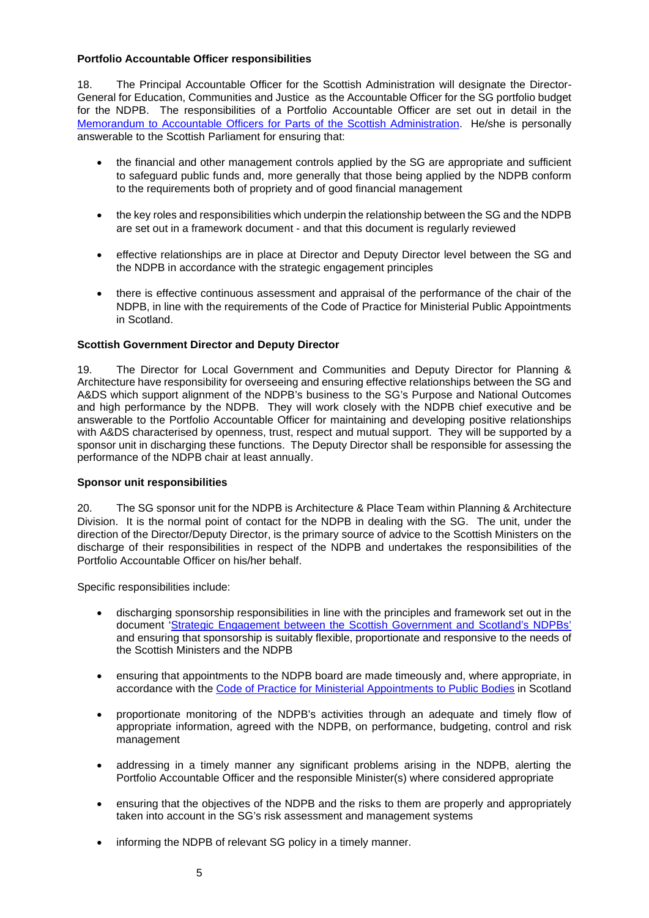### **Portfolio Accountable Officer responsibilities**

18. The Principal Accountable Officer for the Scottish Administration will designate the Director-General for Education, Communities and Justice as the Accountable Officer for the SG portfolio budget for the NDPB. The responsibilities of a Portfolio Accountable Officer are set out in detail in the [Memorandum to Accountable Officers for Parts of the Scottish Administration.](http://www.scotland.gov.uk/Topics/Government/Finance/spfm/Accountability/aomemo) He/she is personally answerable to the Scottish Parliament for ensuring that:

- the financial and other management controls applied by the SG are appropriate and sufficient to safeguard public funds and, more generally that those being applied by the NDPB conform to the requirements both of propriety and of good financial management
- the key roles and responsibilities which underpin the relationship between the SG and the NDPB are set out in a framework document - and that this document is regularly reviewed
- effective relationships are in place at Director and Deputy Director level between the SG and the NDPB in accordance with the strategic engagement principles
- there is effective continuous assessment and appraisal of the performance of the chair of the NDPB, in line with the requirements of the Code of Practice for Ministerial Public Appointments in Scotland.

### **Scottish Government Director and Deputy Director**

19. The Director for Local Government and Communities and Deputy Director for Planning & Architecture have responsibility for overseeing and ensuring effective relationships between the SG and A&DS which support alignment of the NDPB's business to the SG's Purpose and National Outcomes and high performance by the NDPB. They will work closely with the NDPB chief executive and be answerable to the Portfolio Accountable Officer for maintaining and developing positive relationships with A&DS characterised by openness, trust, respect and mutual support. They will be supported by a sponsor unit in discharging these functions. The Deputy Director shall be responsible for assessing the performance of the NDPB chair at least annually.

### **Sponsor unit responsibilities**

20. The SG sponsor unit for the NDPB is Architecture & Place Team within Planning & Architecture Division. It is the normal point of contact for the NDPB in dealing with the SG. The unit, under the direction of the Director/Deputy Director, is the primary source of advice to the Scottish Ministers on the discharge of their responsibilities in respect of the NDPB and undertakes the responsibilities of the Portfolio Accountable Officer on his/her behalf.

Specific responsibilities include:

- discharging sponsorship responsibilities in line with the principles and framework set out in the document ['Strategic Engagement between the Scottish Government and Scotland's NDPBs'](http://www.gov.scot/Topics/Government/public-bodies/pubs/StrategicEngagement) and ensuring that sponsorship is suitably flexible, proportionate and responsive to the needs of the Scottish Ministers and the NDPB
- ensuring that appointments to the NDPB board are made timeously and, where appropriate, in accordance with the [Code of Practice for Ministerial Appointments to Public Bodies](http://www.ethicalstandards.org.uk/site/uploads/publications/406ebe2cdaa457e47217d07aaa11f566.pdf) in Scotland
- proportionate monitoring of the NDPB's activities through an adequate and timely flow of appropriate information, agreed with the NDPB, on performance, budgeting, control and risk management
- addressing in a timely manner any significant problems arising in the NDPB, alerting the Portfolio Accountable Officer and the responsible Minister(s) where considered appropriate
- ensuring that the objectives of the NDPB and the risks to them are properly and appropriately taken into account in the SG's risk assessment and management systems
- informing the NDPB of relevant SG policy in a timely manner.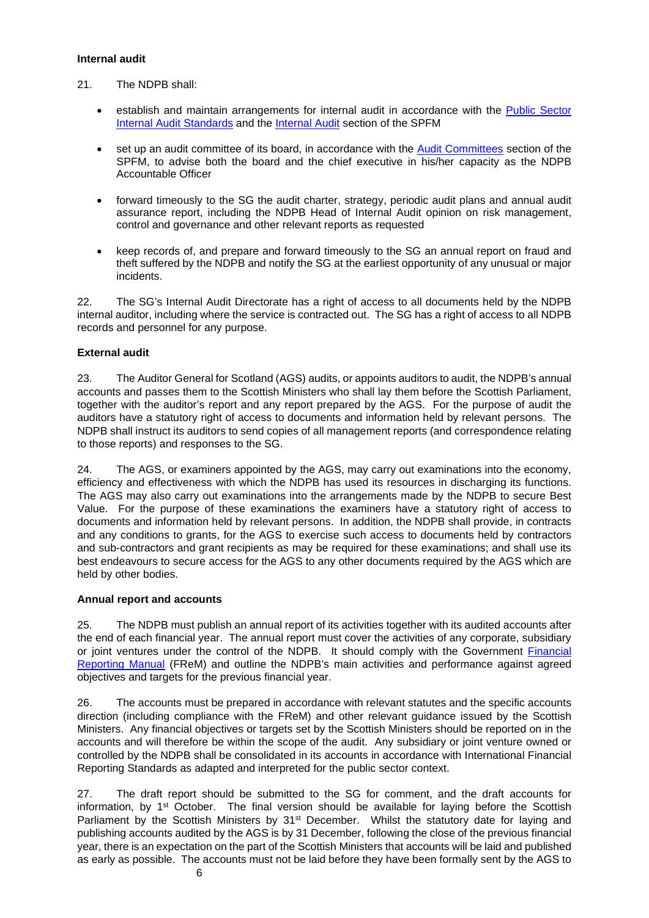### **Internal audit**

- 21. The NDPB shall:
	- establish and maintain arrangements for internal audit in accordance with the [Public Sector](https://www.gov.uk/government/publications/public-sector-internal-audit-standards)  [Internal Audit Standards](https://www.gov.uk/government/publications/public-sector-internal-audit-standards) and the [Internal Audit](http://www.scotland.gov.uk/Topics/Government/Finance/spfm/internaud) section of the SPFM
	- set up an audit committee of its board, in accordance with the [Audit Committees](http://www.scotland.gov.uk/Topics/Government/Finance/spfm/auditcommittees) section of the SPFM, to advise both the board and the chief executive in his/her capacity as the NDPB Accountable Officer
	- forward timeously to the SG the audit charter, strategy, periodic audit plans and annual audit assurance report, including the NDPB Head of Internal Audit opinion on risk management, control and governance and other relevant reports as requested
	- keep records of, and prepare and forward timeously to the SG an annual report on fraud and theft suffered by the NDPB and notify the SG at the earliest opportunity of any unusual or major incidents.

22. The SG's Internal Audit Directorate has a right of access to all documents held by the NDPB internal auditor, including where the service is contracted out. The SG has a right of access to all NDPB records and personnel for any purpose.

# **External audit**

23. The Auditor General for Scotland (AGS) audits, or appoints auditors to audit, the NDPB's annual accounts and passes them to the Scottish Ministers who shall lay them before the Scottish Parliament, together with the auditor's report and any report prepared by the AGS. For the purpose of audit the auditors have a statutory right of access to documents and information held by relevant persons. The NDPB shall instruct its auditors to send copies of all management reports (and correspondence relating to those reports) and responses to the SG.

24. The AGS, or examiners appointed by the AGS, may carry out examinations into the economy, efficiency and effectiveness with which the NDPB has used its resources in discharging its functions. The AGS may also carry out examinations into the arrangements made by the NDPB to secure Best Value. For the purpose of these examinations the examiners have a statutory right of access to documents and information held by relevant persons. In addition, the NDPB shall provide, in contracts and any conditions to grants, for the AGS to exercise such access to documents held by contractors and sub-contractors and grant recipients as may be required for these examinations; and shall use its best endeavours to secure access for the AGS to any other documents required by the AGS which are held by other bodies.

## **Annual report and accounts**

25. The NDPB must publish an annual report of its activities together with its audited accounts after the end of each financial year. The annual report must cover the activities of any corporate, subsidiary or joint ventures under the control of the NDPB. It should comply with the Government [Financial](http://www.hm-treasury.gov.uk/frem_index.htm)  [Reporting Manual](http://www.hm-treasury.gov.uk/frem_index.htm) (FReM) and outline the NDPB's main activities and performance against agreed objectives and targets for the previous financial year.

26. The accounts must be prepared in accordance with relevant statutes and the specific accounts direction (including compliance with the FReM) and other relevant guidance issued by the Scottish Ministers. Any financial objectives or targets set by the Scottish Ministers should be reported on in the accounts and will therefore be within the scope of the audit. Any subsidiary or joint venture owned or controlled by the NDPB shall be consolidated in its accounts in accordance with International Financial Reporting Standards as adapted and interpreted for the public sector context.

27. The draft report should be submitted to the SG for comment, and the draft accounts for information, by 1st October. The final version should be available for laying before the Scottish Parliament by the Scottish Ministers by 31<sup>st</sup> December. Whilst the statutory date for laying and publishing accounts audited by the AGS is by 31 December, following the close of the previous financial year, there is an expectation on the part of the Scottish Ministers that accounts will be laid and published as early as possible. The accounts must not be laid before they have been formally sent by the AGS to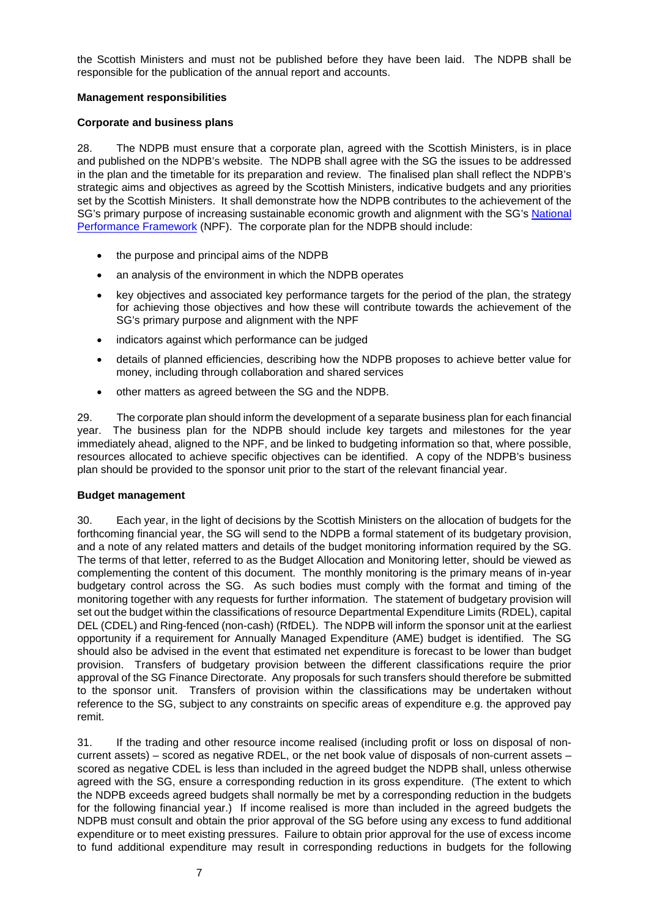the Scottish Ministers and must not be published before they have been laid. The NDPB shall be responsible for the publication of the annual report and accounts.

### **Management responsibilities**

### **Corporate and business plans**

28. The NDPB must ensure that a corporate plan, agreed with the Scottish Ministers, is in place and published on the NDPB's website. The NDPB shall agree with the SG the issues to be addressed in the plan and the timetable for its preparation and review. The finalised plan shall reflect the NDPB's strategic aims and objectives as agreed by the Scottish Ministers, indicative budgets and any priorities set by the Scottish Ministers. It shall demonstrate how the NDPB contributes to the achievement of the SG's primary purpose of increasing sustainable economic growth and alignment with the SG'[s National](http://www.scotland.gov.uk/Publications/2007/11/13092240/9)  [Performance Framework](http://www.scotland.gov.uk/Publications/2007/11/13092240/9) (NPF). The corporate plan for the NDPB should include:

- the purpose and principal aims of the NDPB
- an analysis of the environment in which the NDPB operates
- key objectives and associated key performance targets for the period of the plan, the strategy for achieving those objectives and how these will contribute towards the achievement of the SG's primary purpose and alignment with the NPF
- indicators against which performance can be judged
- details of planned efficiencies, describing how the NDPB proposes to achieve better value for money, including through collaboration and shared services
- other matters as agreed between the SG and the NDPB.

29. The corporate plan should inform the development of a separate business plan for each financial year. The business plan for the NDPB should include key targets and milestones for the year immediately ahead, aligned to the NPF, and be linked to budgeting information so that, where possible, resources allocated to achieve specific objectives can be identified. A copy of the NDPB's business plan should be provided to the sponsor unit prior to the start of the relevant financial year.

### **Budget management**

30. Each year, in the light of decisions by the Scottish Ministers on the allocation of budgets for the forthcoming financial year, the SG will send to the NDPB a formal statement of its budgetary provision, and a note of any related matters and details of the budget monitoring information required by the SG. The terms of that letter, referred to as the Budget Allocation and Monitoring letter, should be viewed as complementing the content of this document. The monthly monitoring is the primary means of in-year budgetary control across the SG. As such bodies must comply with the format and timing of the monitoring together with any requests for further information. The statement of budgetary provision will set out the budget within the classifications of resource Departmental Expenditure Limits (RDEL), capital DEL (CDEL) and Ring-fenced (non-cash) (RfDEL). The NDPB will inform the sponsor unit at the earliest opportunity if a requirement for Annually Managed Expenditure (AME) budget is identified. The SG should also be advised in the event that estimated net expenditure is forecast to be lower than budget provision. Transfers of budgetary provision between the different classifications require the prior approval of the SG Finance Directorate. Any proposals for such transfers should therefore be submitted to the sponsor unit. Transfers of provision within the classifications may be undertaken without reference to the SG, subject to any constraints on specific areas of expenditure e.g. the approved pay remit.

31. If the trading and other resource income realised (including profit or loss on disposal of noncurrent assets) – scored as negative RDEL, or the net book value of disposals of non-current assets – scored as negative CDEL is less than included in the agreed budget the NDPB shall, unless otherwise agreed with the SG, ensure a corresponding reduction in its gross expenditure. (The extent to which the NDPB exceeds agreed budgets shall normally be met by a corresponding reduction in the budgets for the following financial year.) If income realised is more than included in the agreed budgets the NDPB must consult and obtain the prior approval of the SG before using any excess to fund additional expenditure or to meet existing pressures. Failure to obtain prior approval for the use of excess income to fund additional expenditure may result in corresponding reductions in budgets for the following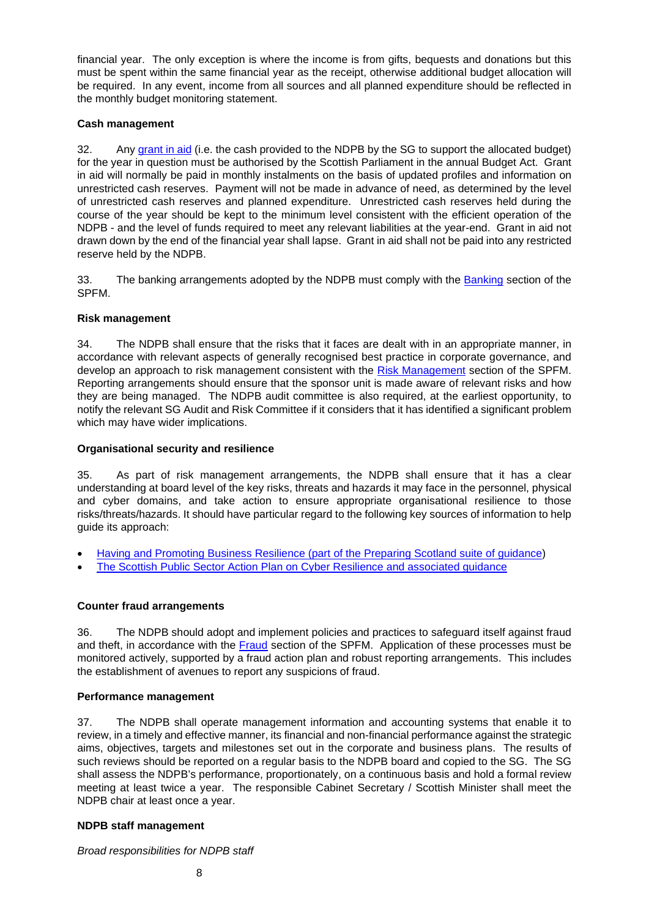financial year. The only exception is where the income is from gifts, bequests and donations but this must be spent within the same financial year as the receipt, otherwise additional budget allocation will be required. In any event, income from all sources and all planned expenditure should be reflected in the monthly budget monitoring statement.

## **Cash management**

32. Any [grant in aid](http://www.scotland.gov.uk/Topics/Government/Finance/spfm/grants) (i.e. the cash provided to the NDPB by the SG to support the allocated budget) for the year in question must be authorised by the Scottish Parliament in the annual Budget Act. Grant in aid will normally be paid in monthly instalments on the basis of updated profiles and information on unrestricted cash reserves. Payment will not be made in advance of need, as determined by the level of unrestricted cash reserves and planned expenditure. Unrestricted cash reserves held during the course of the year should be kept to the minimum level consistent with the efficient operation of the NDPB - and the level of funds required to meet any relevant liabilities at the year-end. Grant in aid not drawn down by the end of the financial year shall lapse. Grant in aid shall not be paid into any restricted reserve held by the NDPB.

33. The banking arrangements adopted by the NDPB must comply with the [Banking](http://www.scotland.gov.uk/Topics/Government/Finance/spfm/banking) section of the SPFM.

## **Risk management**

34. The NDPB shall ensure that the risks that it faces are dealt with in an appropriate manner, in accordance with relevant aspects of generally recognised best practice in corporate governance, and develop an approach to risk management consistent with the [Risk Management](http://www.scotland.gov.uk/Topics/Government/Finance/spfm/risk) section of the SPFM. Reporting arrangements should ensure that the sponsor unit is made aware of relevant risks and how they are being managed. The NDPB audit committee is also required, at the earliest opportunity, to notify the relevant SG Audit and Risk Committee if it considers that it has identified a significant problem which may have wider implications.

## **Organisational security and resilience**

35. As part of risk management arrangements, the NDPB shall ensure that it has a clear understanding at board level of the key risks, threats and hazards it may face in the personnel, physical and cyber domains, and take action to ensure appropriate organisational resilience to those risks/threats/hazards. It should have particular regard to the following key sources of information to help [guide its approach:](http://www.gov.scot/Publications/2013/12/8006/downloads)

- [Having and Promoting Business Resilience \(part of the Preparing Scotland suite of guidance\)](http://www.gov.scot/Publications/2013/12/8006/downloads)
- [The Scottish Public Sector Action Plan on Cyber Resilience](https://beta.gov.scot/publications/cyber-resilience-strategy-scotland-public-sector-action-plan-2017-18/) and associated guidance

# **Counter fraud arrangements**

36. The NDPB should adopt and implement policies and practices to safeguard itself against fraud and theft, in accordance with the [Fraud](http://www.scotland.gov.uk/Topics/Government/Finance/spfm/fraud) section of the SPFM. Application of these processes must be monitored actively, supported by a fraud action plan and robust reporting arrangements. This includes the establishment of avenues to report any suspicions of fraud.

## **Performance management**

37. The NDPB shall operate management information and accounting systems that enable it to review, in a timely and effective manner, its financial and non-financial performance against the strategic aims, objectives, targets and milestones set out in the corporate and business plans. The results of such reviews should be reported on a regular basis to the NDPB board and copied to the SG. The SG shall assess the NDPB's performance, proportionately, on a continuous basis and hold a formal review meeting at least twice a year. The responsible Cabinet Secretary / Scottish Minister shall meet the NDPB chair at least once a year.

# **NDPB staff management**

*Broad responsibilities for NDPB staff*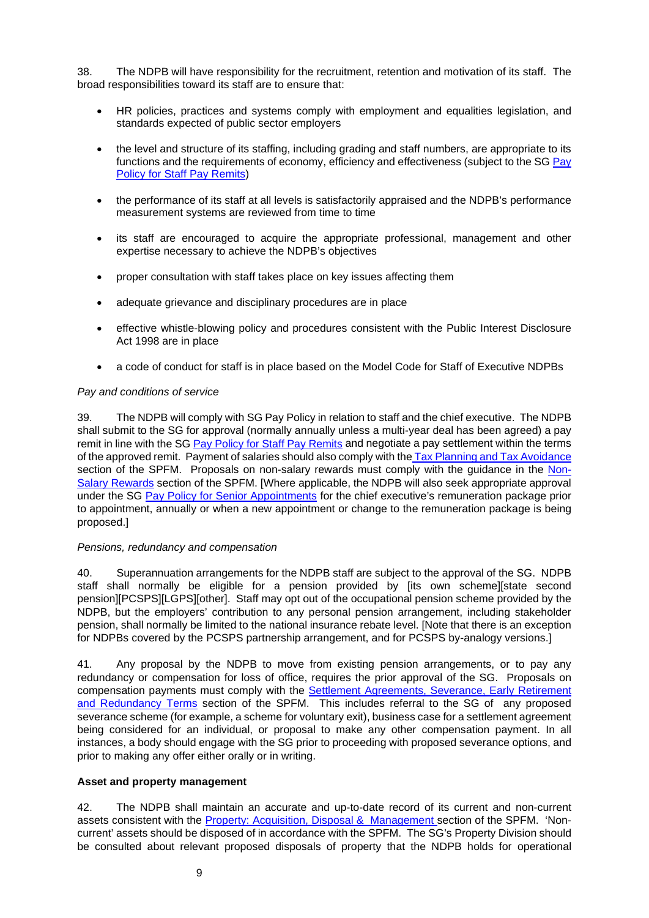38. The NDPB will have responsibility for the recruitment, retention and motivation of its staff. The broad responsibilities toward its staff are to ensure that:

- HR policies, practices and systems comply with employment and equalities legislation, and standards expected of public sector employers
- the level and structure of its staffing, including grading and staff numbers, are appropriate to its functions and the requirements of economy, efficiency and effectiveness (subject to the SG [Pay](http://www.gov.scot/Topics/Government/public-sector-pay/staff-pay)  [Policy for Staff Pay Remits\)](http://www.gov.scot/Topics/Government/public-sector-pay/staff-pay)
- the performance of its staff at all levels is satisfactorily appraised and the NDPB's performance measurement systems are reviewed from time to time
- its staff are encouraged to acquire the appropriate professional, management and other expertise necessary to achieve the NDPB's objectives
- proper consultation with staff takes place on key issues affecting them
- adequate grievance and disciplinary procedures are in place
- effective whistle-blowing policy and procedures consistent with the Public Interest Disclosure Act 1998 are in place
- a code of conduct for staff is in place based on the Model Code for Staff of Executive NDPBs

### *Pay and conditions of service*

39. The NDPB will comply with SG Pay Policy in relation to staff and the chief executive. The NDPB shall submit to the SG for approval (normally annually unless a multi-year deal has been agreed) a pay remit in line with the SG [Pay Policy for Staff Pay Remits](http://www.gov.scot/Topics/Government/public-sector-pay/staff-pay) and negotiate a pay settlement within the terms of the approved remit. Payment of salaries should also comply with the [Tax Planning and Tax Avoidance](http://www.gov.scot/Topics/Government/Finance/spfm/taxavoidance) section of the SPFM. Proposals on non-salary rewards must comply with the quidance in the [Non-](http://www.gov.scot/Topics/Government/Finance/spfm/nonsalrewards)[Salary Rewards](http://www.gov.scot/Topics/Government/Finance/spfm/nonsalrewards) section of the SPFM. [Where applicable, the NDPB will also seek appropriate approval under the SG [Pay Policy for Senior Appointments](http://www.gov.scot/Topics/Government/public-sector-pay/senior-appointment-pay) for the chief executive's remuneration package prior to appointment, annually or when a new appointment or change to the remuneration package is being proposed.]

### *Pensions, redundancy and compensation*

40. Superannuation arrangements for the NDPB staff are subject to the approval of the SG. NDPB staff shall normally be eligible for a pension provided by [its own scheme][state second pension][PCSPS][LGPS][other]. Staff may opt out of the occupational pension scheme provided by the NDPB, but the employers' contribution to any personal pension arrangement, including stakeholder pension, shall normally be limited to the national insurance rebate level. [Note that there is an exception for NDPBs covered by the PCSPS partnership arrangement, and for PCSPS by-analogy versions.]

41. Any proposal by the NDPB to move from existing pension arrangements, or to pay any redundancy or compensation for loss of office, requires the prior approval of the SG. Proposals on compensation payments must comply with the **Settlement Agreements, Severance, Early Retirement** [and Redundancy Terms](http://www.scotland.gov.uk/Topics/Government/Finance/spfm/severanceetcterms) section of the SPFM. This includes referral to the SG of any proposed severance scheme (for example, a scheme for voluntary exit), business case for a settlement agreement being considered for an individual, or proposal to make any other compensation payment. In all instances, a body should engage with the SG prior to proceeding with proposed severance options, and prior to making any offer either orally or in writing.

## **Asset and property management**

42. The NDPB shall maintain an accurate and up-to-date record of its current and non-current assets consistent with the [Property: Acquisition, Disposal & Management s](http://www.scotland.gov.uk/Topics/Government/Finance/spfm/PropertyManagement)ection of the SPFM. 'Noncurrent' assets should be disposed of in accordance with the SPFM. The SG's Property Division should be consulted about relevant proposed disposals of property that the NDPB holds for operational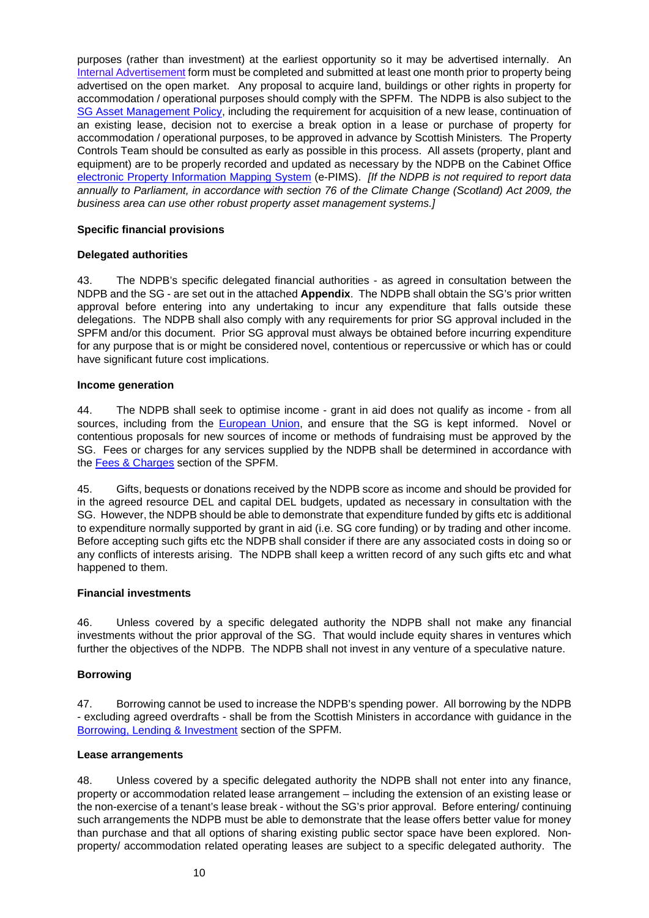purposes (rather than investment) at the earliest opportunity so it may be advertised internally. A[n](http://www.scotland.gov.uk/Topics/Government/Finance/spfm/PropertyManagement/InternalAdvertisement) [Internal Advertisement](http://www.scotland.gov.uk/Topics/Government/Finance/spfm/PropertyManagement/InternalAdvertisement) form must be completed and submitted at least one month prior to property being advertised on the open market. Any proposal to acquire land, buildings or other rights in property for accommodation / operational purposes should comply with the SPFM. The NDPB is also subject to the [SG Asset Management Policy,](http://www.scotland.gov.uk/Publications/2009/02/26142659/1) including the requirement for acquisition of a new lease, continuation of an existing lease, decision not to exercise a break option in a lease or purchase of property for accommodation / operational purposes, to be approved in advance by Scottish Ministers*.* The Property Controls Team should be consulted as early as possible in this process. All assets (property, plant and equipment) are to be properly recorded and updated as necessary by the NDPB on the Cabinet Office [electronic Property Information Mapping System](http://www.ogc.gov.uk/electronic_property_information_mapping_service.asp) (e-PIMS). *[If the NDPB is not required to report data annually to Parliament, in accordance with section 76 of the Climate Change (Scotland) Act 2009, the business area can use other robust property asset management systems.]*

### **Specific financial provisions**

## **Delegated authorities**

43. The NDPB's specific delegated financial authorities - as agreed in consultation between the NDPB and the SG - are set out in the attached **Appendix**. The NDPB shall obtain the SG's prior written approval before entering into any undertaking to incur any expenditure that falls outside these delegations. The NDPB shall also comply with any requirements for prior SG approval included in the SPFM and/or this document. Prior SG approval must always be obtained before incurring expenditure for any purpose that is or might be considered novel, contentious or repercussive or which has or could have significant future cost implications.

### **Income generation**

44. The NDPB shall seek to optimise income - grant in aid does not qualify as income - from all sources, including from the **European Union**, and ensure that the SG is kept informed. Novel or contentious proposals for new sources of income or methods of fundraising must be approved by the SG. Fees or charges for any services supplied by the NDPB shall be determined in accordance with the [Fees & Charges](http://www.scotland.gov.uk/Topics/Government/Finance/spfm/feescharges) section of the SPFM.

45. Gifts, bequests or donations received by the NDPB score as income and should be provided for in the agreed resource DEL and capital DEL budgets, updated as necessary in consultation with the SG. However, the NDPB should be able to demonstrate that expenditure funded by gifts etc is additional to expenditure normally supported by grant in aid (i.e. SG core funding) or by trading and other income. Before accepting such gifts etc the NDPB shall consider if there are any associated costs in doing so or any conflicts of interests arising. The NDPB shall keep a written record of any such gifts etc and what happened to them.

### **Financial investments**

46. Unless covered by a specific delegated authority the NDPB shall not make any financial investments without the prior approval of the SG. That would include equity shares in ventures which further the objectives of the NDPB. The NDPB shall not invest in any venture of a speculative nature.

## **Borrowing**

47. Borrowing cannot be used to increase the NDPB's spending power. All borrowing by the NDPB - excluding agreed overdrafts - shall be from the Scottish Ministers in accordance with guidance in the [Borrowing, Lending & Investment](http://www.scotland.gov.uk/Topics/Government/Finance/spfm/borrowingetc) section of the SPFM.

### **Lease arrangements**

48. Unless covered by a specific delegated authority the NDPB shall not enter into any finance, property or accommodation related lease arrangement – including the extension of an existing lease or the non-exercise of a tenant's lease break - without the SG's prior approval. Before entering/ continuing such arrangements the NDPB must be able to demonstrate that the lease offers better value for money than purchase and that all options of sharing existing public sector space have been explored. Nonproperty/ accommodation related operating leases are subject to a specific delegated authority. The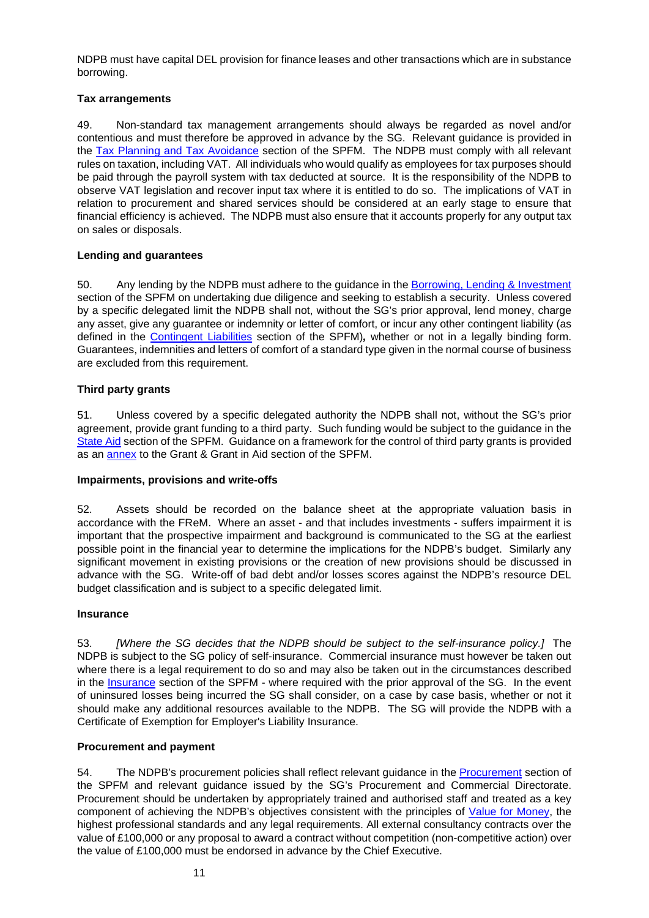NDPB must have capital DEL provision for finance leases and other transactions which are in substance borrowing.

## **Tax arrangements**

49. Non-standard tax management arrangements should always be regarded as novel and/or contentious and must therefore be approved in advance by the SG. Relevant guidance is provided in the [Tax Planning and Tax Avoidance](http://www.scotland.gov.uk/Topics/Government/Finance/spfm/taxavoidance) section of the SPFM. The NDPB must comply with all relevant rules on taxation, including VAT. All individuals who would qualify as employees for tax purposes should be paid through the payroll system with tax deducted at source. It is the responsibility of the NDPB to observe VAT legislation and recover input tax where it is entitled to do so. The implications of VAT in relation to procurement and shared services should be considered at an early stage to ensure that financial efficiency is achieved. The NDPB must also ensure that it accounts properly for any output tax on sales or disposals.

# **Lending and guarantees**

50. Any lending by the NDPB must adhere to the guidance in the [Borrowing, Lending & Investment](http://www.scotland.gov.uk/Topics/Government/Finance/spfm/borrowingetc) section of the SPFM on undertaking due diligence and seeking to establish a security. Unless covered by a specific delegated limit the NDPB shall not, without the SG's prior approval, lend money, charge any asset, give any guarantee or indemnity or letter of comfort, or incur any other contingent liability (as defined in the [Contingent Liabilities](http://www.scotland.gov.uk/Topics/Government/Finance/spfm/contingentliabs) section of the SPFM)*,* whether or not in a legally binding form. Guarantees, indemnities and letters of comfort of a standard type given in the normal course of business are excluded from this requirement.

# **Third party grants**

51. Unless covered by a specific delegated authority the NDPB shall not, without the SG's prior agreement, provide grant funding to a third party. Such funding would be subject to the guidance in the [State Aid](http://www.scotland.gov.uk/Topics/Government/Finance/spfm/stateaidrules) section of the SPFM. Guidance on a framework for the control of third party grants is provided as an **annex** to the Grant & Grant in Aid section of the SPFM.

## **Impairments, provisions and write-offs**

52. Assets should be recorded on the balance sheet at the appropriate valuation basis in accordance with the FReM. Where an asset - and that includes investments - suffers impairment it is important that the prospective impairment and background is communicated to the SG at the earliest possible point in the financial year to determine the implications for the NDPB's budget. Similarly any significant movement in existing provisions or the creation of new provisions should be discussed in advance with the SG. Write-off of bad debt and/or losses scores against the NDPB's resource DEL budget classification and is subject to a specific delegated limit.

## **Insurance**

53. *[Where the SG decides that the NDPB should be subject to the self-insurance policy.]* The NDPB is subject to the SG policy of self-insurance. Commercial insurance must however be taken out where there is a legal requirement to do so and may also be taken out in the circumstances described in the [Insurance](http://www.scotland.gov.uk/Topics/Government/Finance/spfm/insurance) section of the SPFM - where required with the prior approval of the SG. In the event of uninsured losses being incurred the SG shall consider, on a case by case basis, whether or not it should make any additional resources available to the NDPB. The SG will provide the NDPB with a Certificate of Exemption for Employer's Liability Insurance.

## **Procurement and payment**

54. The NDPB's procurement policies shall reflect relevant guidance in the [Procurement](http://www.scotland.gov.uk/Topics/Government/Finance/spfm/procure) section of the SPFM and relevant guidance issued by the SG's Procurement and Commercial Directorate. Procurement should be undertaken by appropriately trained and authorised staff and treated as a key component of achieving the NDPB's objectives consistent with the principles of Value for Money, the highest professional standards and any legal requirements. All external consultancy contracts over the value of £100,000 or any proposal to award a contract without competition (non-competitive action) over the value of £100,000 must be endorsed in advance by the Chief Executive.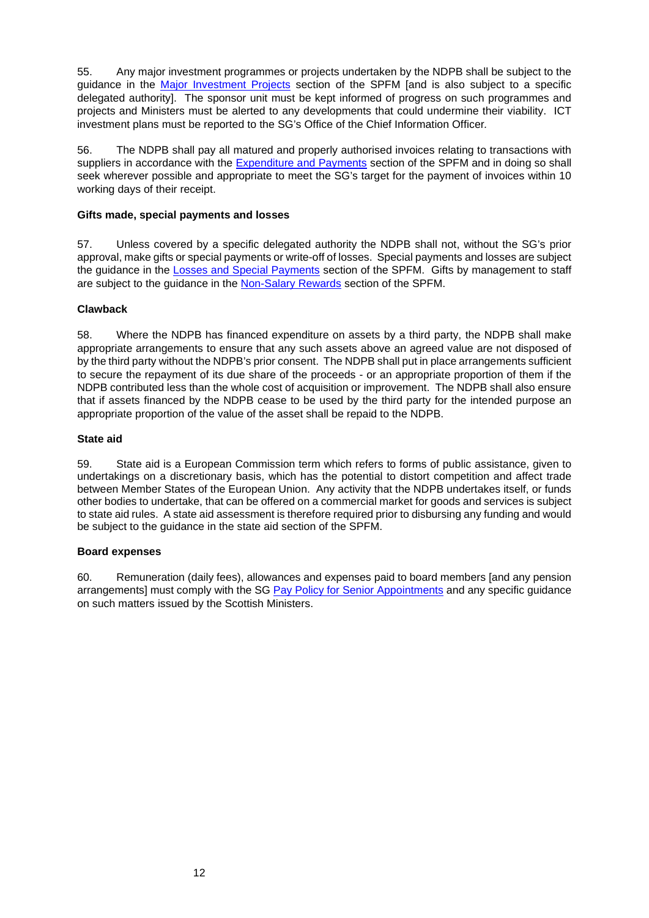55. Any major investment programmes or projects undertaken by the NDPB shall be subject to the guidance in the [Major Investment Projects](http://www.scotland.gov.uk/Topics/Government/Finance/spfm/majinvest) section of the SPFM [and is also subject to a specific delegated authority]. The sponsor unit must be kept informed of progress on such programmes and projects and Ministers must be alerted to any developments that could undermine their viability. ICT investment plans must be reported to the SG's Office of the Chief Information Officer*.*

56. The NDPB shall pay all matured and properly authorised invoices relating to transactions with suppliers in accordance with the [Expenditure and Payments](http://www.scotland.gov.uk/Topics/Government/Finance/spfm/payments) section of the SPFM and in doing so shall seek wherever possible and appropriate to meet the SG's target for the payment of invoices within 10 working days of their receipt.

## **Gifts made, special payments and losses**

57. Unless covered by a specific delegated authority the NDPB shall not, without the SG's prior approval, make gifts or special payments or write-off of losses. Special payments and losses are subject the guidance in the [Losses and Special Payments](http://www.scotland.gov.uk/Topics/Government/Finance/spfm/lossesetc) section of the SPFM. Gifts by management to staff are subject to the guidance in the [Non-Salary Rewards](http://www.scotland.gov.uk/Topics/Government/Finance/spfm/nonsalrewards) section of the SPFM.

# **Clawback**

58. Where the NDPB has financed expenditure on assets by a third party, the NDPB shall make appropriate arrangements to ensure that any such assets above an agreed value are not disposed of by the third party without the NDPB's prior consent. The NDPB shall put in place arrangements sufficient to secure the repayment of its due share of the proceeds - or an appropriate proportion of them if the NDPB contributed less than the whole cost of acquisition or improvement. The NDPB shall also ensure that if assets financed by the NDPB cease to be used by the third party for the intended purpose an appropriate proportion of the value of the asset shall be repaid to the NDPB.

# **State aid**

59. State aid is a European Commission term which refers to forms of public assistance, given to undertakings on a discretionary basis, which has the potential to distort competition and affect trade between Member States of the European Union. Any activity that the NDPB undertakes itself, or funds other bodies to undertake, that can be offered on a commercial market for goods and services is subject to state aid rules. A state aid assessment is therefore required prior to disbursing any funding and would be subject to the guidance in the state aid section of the SPFM.

## **Board expenses**

60. Remuneration (daily fees), allowances and expenses paid to board members [and any pension arrangements] must comply with the SG [Pay Policy for Senior Appointments](http://www.gov.scot/Topics/Government/public-sector-pay/senior-appointment-pay) and any specific guidance on such matters issued by the Scottish Ministers.